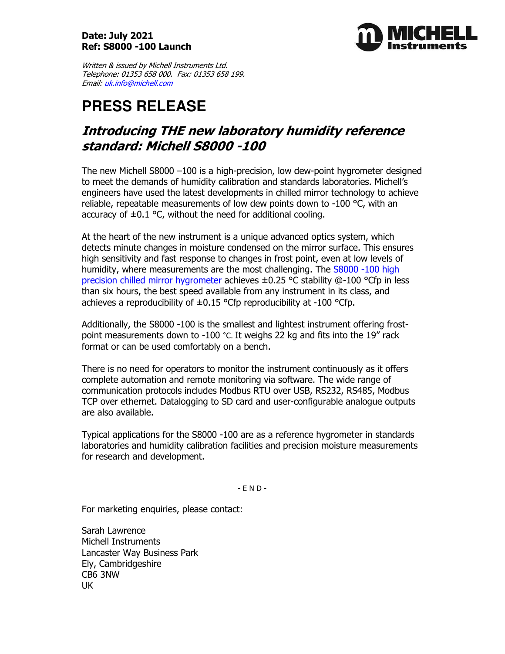## Date: July 2021 Ref: S8000 -100 Launch



Written & issued by Michell Instruments Ltd. Telephone: 01353 658 000. Fax: 01353 658 199. Email: uk.info@michell.com

# **PRESS RELEASE**

## Introducing THE new laboratory humidity reference standard: Michell S8000 -100

The new Michell S8000 –100 is a high-precision, low dew-point hygrometer designed to meet the demands of humidity calibration and standards laboratories. Michell's engineers have used the latest developments in chilled mirror technology to achieve reliable, repeatable measurements of low dew points down to -100 °C, with an accuracy of  $\pm 0.1$  °C, without the need for additional cooling.

At the heart of the new instrument is a unique advanced optics system, which detects minute changes in moisture condensed on the mirror surface. This ensures high sensitivity and fast response to changes in frost point, even at low levels of humidity, where measurements are the most challenging. The S8000 -100 high precision chilled mirror hygrometer achieves ±0.25 °C stability @-100 °Cfp in less than six hours, the best speed available from any instrument in its class, and achieves a reproducibility of  $\pm 0.15$  °Cfp reproducibility at -100 °Cfp.

Additionally, the S8000 -100 is the smallest and lightest instrument offering frostpoint measurements down to -100 °C. It weighs 22 kg and fits into the 19" rack format or can be used comfortably on a bench.

There is no need for operators to monitor the instrument continuously as it offers complete automation and remote monitoring via software. The wide range of communication protocols includes Modbus RTU over USB, RS232, RS485, Modbus TCP over ethernet. Datalogging to SD card and user-configurable analogue outputs are also available.

Typical applications for the S8000 -100 are as a reference hygrometer in standards laboratories and humidity calibration facilities and precision moisture measurements for research and development.

- E N D -

For marketing enquiries, please contact:

Sarah Lawrence Michell Instruments Lancaster Way Business Park Ely, Cambridgeshire CB6 3NW UK